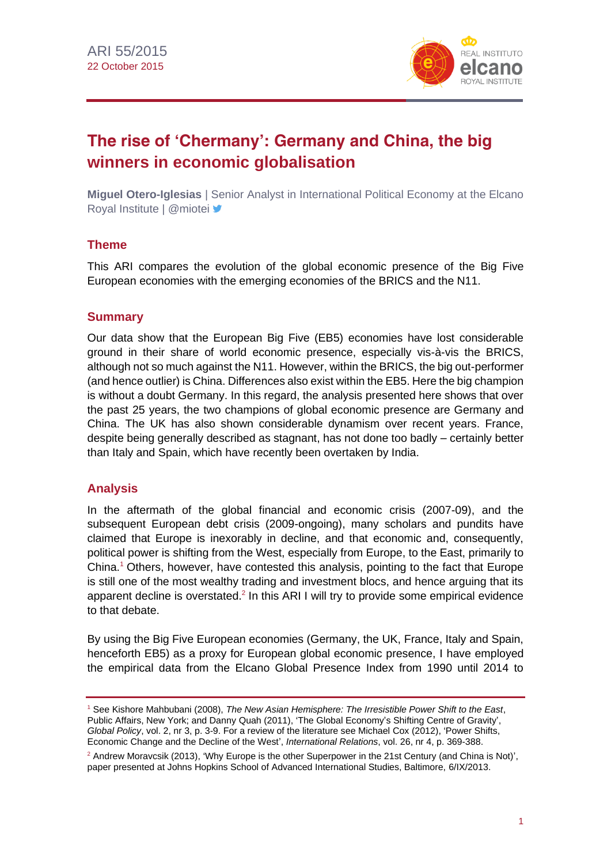

## **The rise of 'Chermany': Germany and China, the big winners in economic globalisation**

**Miguel Otero-Iglesias** | Senior Analyst in International Political Economy at the Elcano Royal Institute | @miotei y

#### **Theme**

This ARI compares the evolution of the global economic presence of the Big Five European economies with the emerging economies of the BRICS and the N11.

#### **Summary**

Our data show that the European Big Five (EB5) economies have lost considerable ground in their share of world economic presence, especially vis-à-vis the BRICS, although not so much against the N11. However, within the BRICS, the big out-performer (and hence outlier) is China. Differences also exist within the EB5. Here the big champion is without a doubt Germany. In this regard, the analysis presented here shows that over the past 25 years, the two champions of global economic presence are Germany and China. The UK has also shown considerable dynamism over recent years. France, despite being generally described as stagnant, has not done too badly – certainly better than Italy and Spain, which have recently been overtaken by India.

#### **Analysis**

In the aftermath of the global financial and economic crisis (2007-09), and the subsequent European debt crisis (2009-ongoing), many scholars and pundits have claimed that Europe is inexorably in decline, and that economic and, consequently, political power is shifting from the West, especially from Europe, to the East, primarily to China.<sup>1</sup> Others, however, have contested this analysis, pointing to the fact that Europe is still one of the most wealthy trading and investment blocs, and hence arguing that its apparent decline is overstated.<sup>2</sup> In this ARI I will try to provide some empirical evidence to that debate.

By using the Big Five European economies (Germany, the UK, France, Italy and Spain, henceforth EB5) as a proxy for European global economic presence, I have employed the empirical data from the Elcano Global Presence Index from 1990 until 2014 to

<sup>1</sup> See Kishore Mahbubani (2008), *The New Asian Hemisphere: The Irresistible Power Shift to the East*, Public Affairs, New York; and Danny Quah (2011), 'The Global Economy's Shifting Centre of Gravity', *Global Policy*, vol. 2, nr 3, p. 3-9. For a review of the literature see Michael Cox (2012), 'Power Shifts, Economic Change and the Decline of the West', *International Relations*, vol. 26, nr 4, p. 369-388.

<sup>&</sup>lt;sup>2</sup> Andrew Moravcsik (2013), 'Why Europe is the other Superpower in the 21st Century (and China is Not)', paper presented at Johns Hopkins School of Advanced International Studies, Baltimore, 6/IX/2013.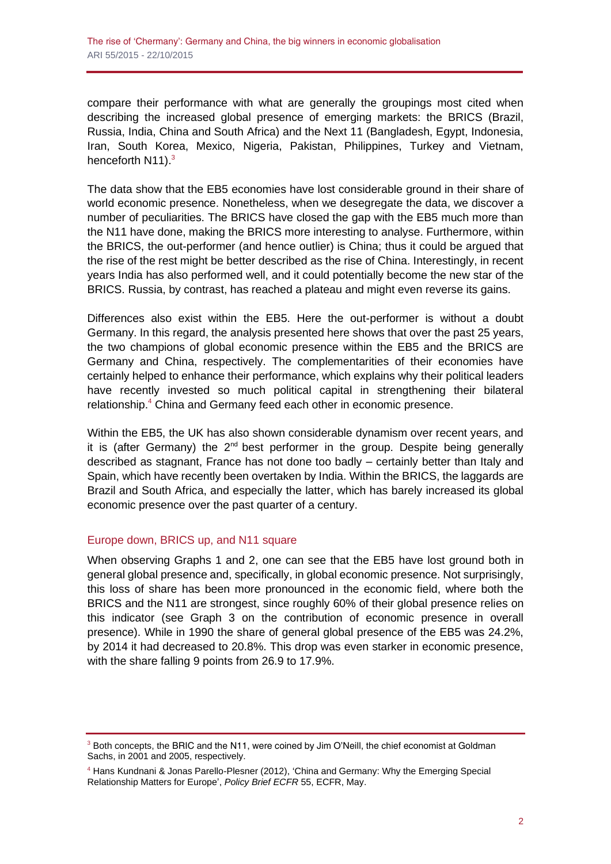compare their performance with what are generally the groupings most cited when describing the increased global presence of emerging markets: the BRICS (Brazil, Russia, India, China and South Africa) and the Next 11 (Bangladesh, Egypt, Indonesia, Iran, South Korea, Mexico, Nigeria, Pakistan, Philippines, Turkey and Vietnam, henceforth N11).<sup>3</sup>

The data show that the EB5 economies have lost considerable ground in their share of world economic presence. Nonetheless, when we desegregate the data, we discover a number of peculiarities. The BRICS have closed the gap with the EB5 much more than the N11 have done, making the BRICS more interesting to analyse. Furthermore, within the BRICS, the out-performer (and hence outlier) is China; thus it could be argued that the rise of the rest might be better described as the rise of China. Interestingly, in recent years India has also performed well, and it could potentially become the new star of the BRICS. Russia, by contrast, has reached a plateau and might even reverse its gains.

Differences also exist within the EB5. Here the out-performer is without a doubt Germany. In this regard, the analysis presented here shows that over the past 25 years, the two champions of global economic presence within the EB5 and the BRICS are Germany and China, respectively. The complementarities of their economies have certainly helped to enhance their performance, which explains why their political leaders have recently invested so much political capital in strengthening their bilateral relationship.<sup>4</sup> China and Germany feed each other in economic presence.

Within the EB5, the UK has also shown considerable dynamism over recent years, and it is (after Germany) the  $2^{nd}$  best performer in the group. Despite being generally described as stagnant, France has not done too badly – certainly better than Italy and Spain, which have recently been overtaken by India. Within the BRICS, the laggards are Brazil and South Africa, and especially the latter, which has barely increased its global economic presence over the past quarter of a century.

#### Europe down, BRICS up, and N11 square

When observing Graphs 1 and 2, one can see that the EB5 have lost ground both in general global presence and, specifically, in global economic presence. Not surprisingly, this loss of share has been more pronounced in the economic field, where both the BRICS and the N11 are strongest, since roughly 60% of their global presence relies on this indicator (see Graph 3 on the contribution of economic presence in overall presence). While in 1990 the share of general global presence of the EB5 was 24.2%, by 2014 it had decreased to 20.8%. This drop was even starker in economic presence, with the share falling 9 points from 26.9 to 17.9%.

<sup>&</sup>lt;sup>3</sup> Both concepts, the BRIC and the N11, were coined by Jim O'Neill, the chief economist at Goldman Sachs, in 2001 and 2005, respectively.

<sup>4</sup> Hans Kundnani & Jonas Parello-Plesner (2012), 'China and Germany: Why the Emerging Special Relationship Matters for Europe', *Policy Brief ECFR* 55, ECFR, May.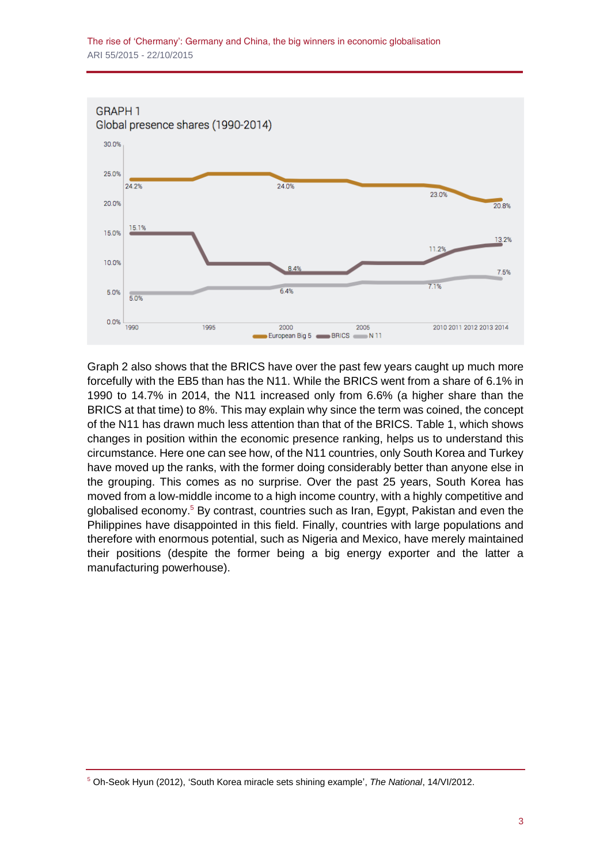

Graph 2 also shows that the BRICS have over the past few years caught up much more forcefully with the EB5 than has the N11. While the BRICS went from a share of 6.1% in 1990 to 14.7% in 2014, the N11 increased only from 6.6% (a higher share than the BRICS at that time) to 8%. This may explain why since the term was coined, the concept of the N11 has drawn much less attention than that of the BRICS. Table 1, which shows changes in position within the economic presence ranking, helps us to understand this circumstance. Here one can see how, of the N11 countries, only South Korea and Turkey have moved up the ranks, with the former doing considerably better than anyone else in the grouping. This comes as no surprise. Over the past 25 years, South Korea has moved from a low-middle income to a high income country, with a highly competitive and globalised economy.<sup>5</sup> By contrast, countries such as Iran, Egypt, Pakistan and even the Philippines have disappointed in this field. Finally, countries with large populations and therefore with enormous potential, such as Nigeria and Mexico, have merely maintained their positions (despite the former being a big energy exporter and the latter a manufacturing powerhouse).

<sup>5</sup> Oh-Seok Hyun (2012), 'South Korea miracle sets shining example', *The National*, 14/VI/2012.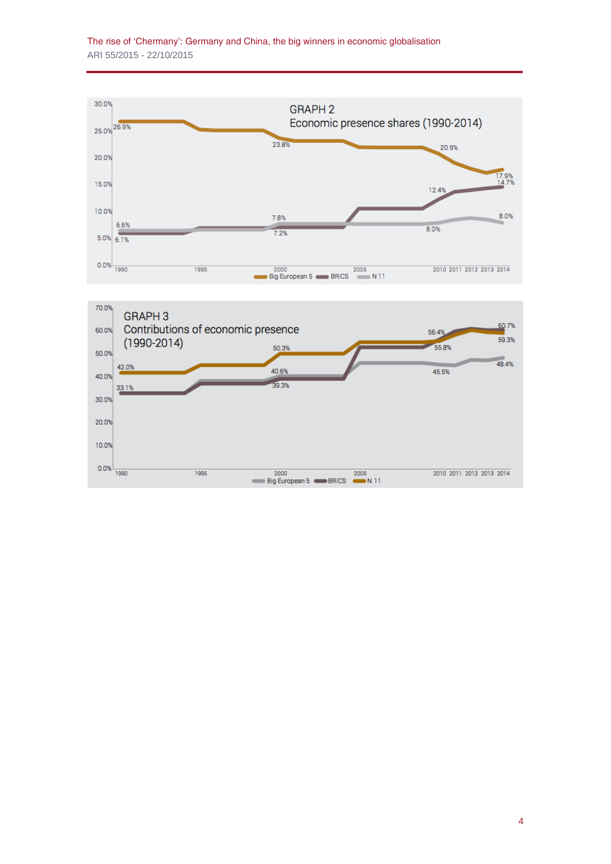



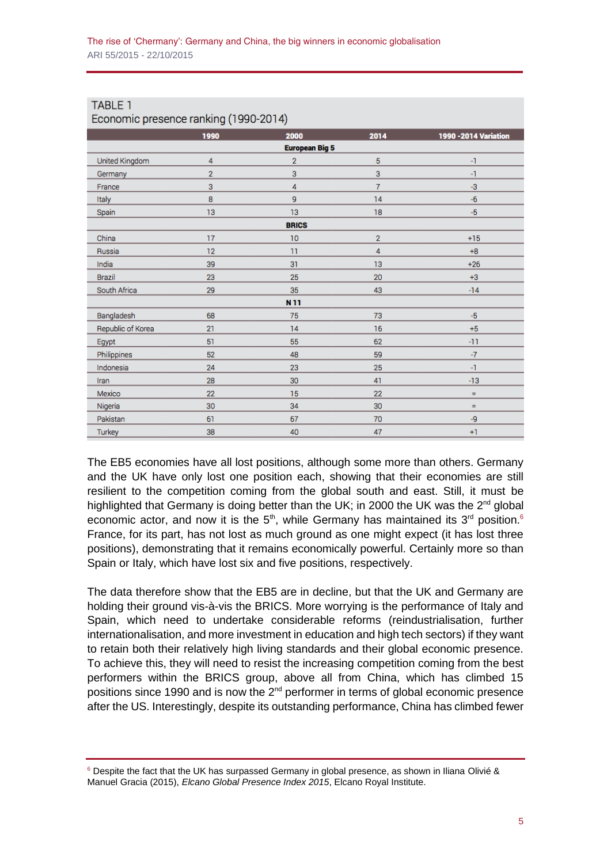| Economic presence ranking (1990-2014) |                |                 |                |                       |
|---------------------------------------|----------------|-----------------|----------------|-----------------------|
|                                       | 1990           | 2000            | 2014           | 1990 - 2014 Variation |
| <b>European Big 5</b>                 |                |                 |                |                       |
| United Kingdom                        | 4              | $\overline{2}$  | 5              | -1                    |
| Germany                               | $\overline{2}$ | 3               | 3              | -1                    |
| France                                | 3              | 4               | $\overline{7}$ | -3                    |
| Italy                                 | 8              | 9               | 14             | $-6$                  |
| Spain                                 | 13             | 13              | 18             | $-5$                  |
| <b>BRICS</b>                          |                |                 |                |                       |
| China                                 | 17             | 10              | $\overline{2}$ | $+15$                 |
| Russia                                | 12             | 11              | 4              | $+8$                  |
| India                                 | 39             | 31              | 13             | $+26$                 |
| Brazil                                | 23             | 25              | 20             | $+3$                  |
| South Africa                          | 29             | 35              | 43             | $-14$                 |
|                                       |                | N <sub>11</sub> |                |                       |
| Bangladesh                            | 68             | 75              | 73             | $-5$                  |
| Republic of Korea                     | 21             | 14              | 16             | $+5$                  |
| Egypt                                 | 51             | 55              | 62             | $-11$                 |
| Philippines                           | 52             | 48              | 59             | $-7$                  |
| Indonesia                             | 24             | 23              | 25             | $-1$                  |
| Iran                                  | 28             | 30              | 41             | $-13$                 |
| Mexico                                | 22             | 15              | 22             | $\equiv$              |
| Nigeria                               | 30             | 34              | 30             | $=$                   |
| Pakistan                              | 61             | 67              | 70             | -9                    |
| Turkey                                | 38             | 40              | 47             | $+1$                  |

# **TABLE 1**

The EB5 economies have all lost positions, although some more than others. Germany and the UK have only lost one position each, showing that their economies are still resilient to the competition coming from the global south and east. Still, it must be highlighted that Germany is doing better than the UK; in 2000 the UK was the  $2^{nd}$  global economic actor, and now it is the  $5<sup>th</sup>$ , while Germany has maintained its  $3<sup>rd</sup>$  position.<sup>6</sup> France, for its part, has not lost as much ground as one might expect (it has lost three positions), demonstrating that it remains economically powerful. Certainly more so than Spain or Italy, which have lost six and five positions, respectively.

The data therefore show that the EB5 are in decline, but that the UK and Germany are holding their ground vis-à-vis the BRICS. More worrying is the performance of Italy and Spain, which need to undertake considerable reforms (reindustrialisation, further internationalisation, and more investment in education and high tech sectors) if they want to retain both their relatively high living standards and their global economic presence. To achieve this, they will need to resist the increasing competition coming from the best performers within the BRICS group, above all from China, which has climbed 15 positions since 1990 and is now the  $2<sup>nd</sup>$  performer in terms of global economic presence after the US. Interestingly, despite its outstanding performance, China has climbed fewer

<sup>6</sup> Despite the fact that the UK has surpassed Germany in global presence, as shown in Iliana Olivié & Manuel Gracia (2015), *Elcano Global Presence Index 2015*, Elcano Royal Institute.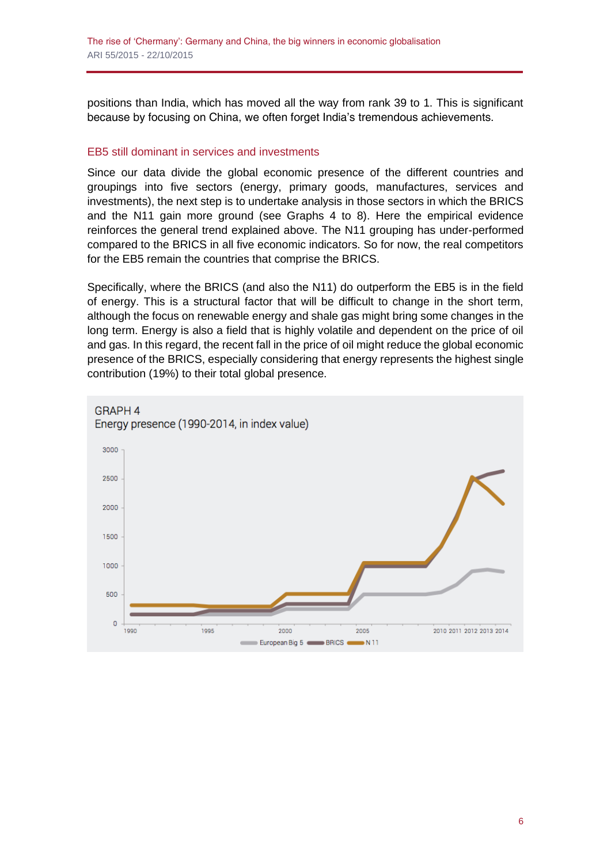positions than India, which has moved all the way from rank 39 to 1. This is significant because by focusing on China, we often forget India's tremendous achievements.

#### EB5 still dominant in services and investments

Since our data divide the global economic presence of the different countries and groupings into five sectors (energy, primary goods, manufactures, services and investments), the next step is to undertake analysis in those sectors in which the BRICS and the N11 gain more ground (see Graphs 4 to 8). Here the empirical evidence reinforces the general trend explained above. The N11 grouping has under-performed compared to the BRICS in all five economic indicators. So for now, the real competitors for the EB5 remain the countries that comprise the BRICS.

Specifically, where the BRICS (and also the N11) do outperform the EB5 is in the field of energy. This is a structural factor that will be difficult to change in the short term, although the focus on renewable energy and shale gas might bring some changes in the long term. Energy is also a field that is highly volatile and dependent on the price of oil and gas. In this regard, the recent fall in the price of oil might reduce the global economic presence of the BRICS, especially considering that energy represents the highest single contribution (19%) to their total global presence.

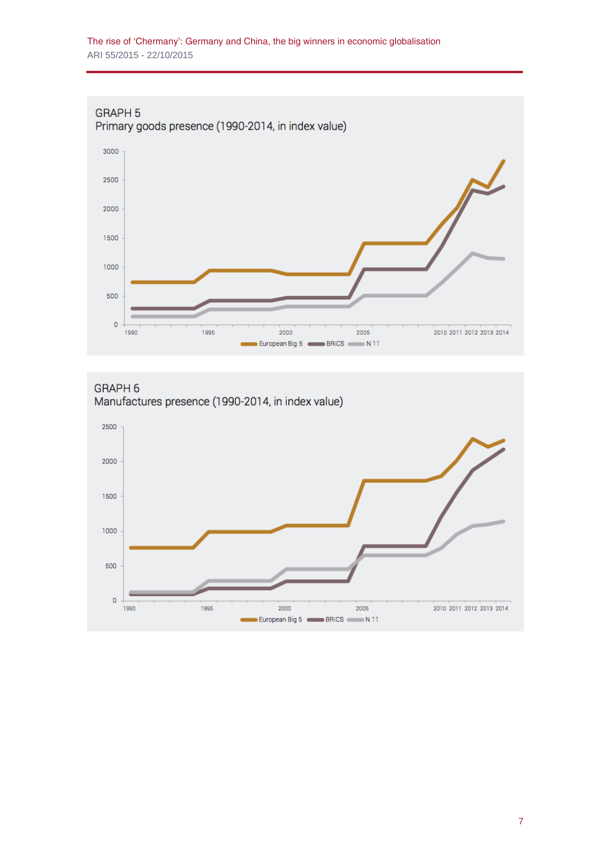

GRAPH<sub>6</sub> Manufactures presence (1990-2014, in index value)

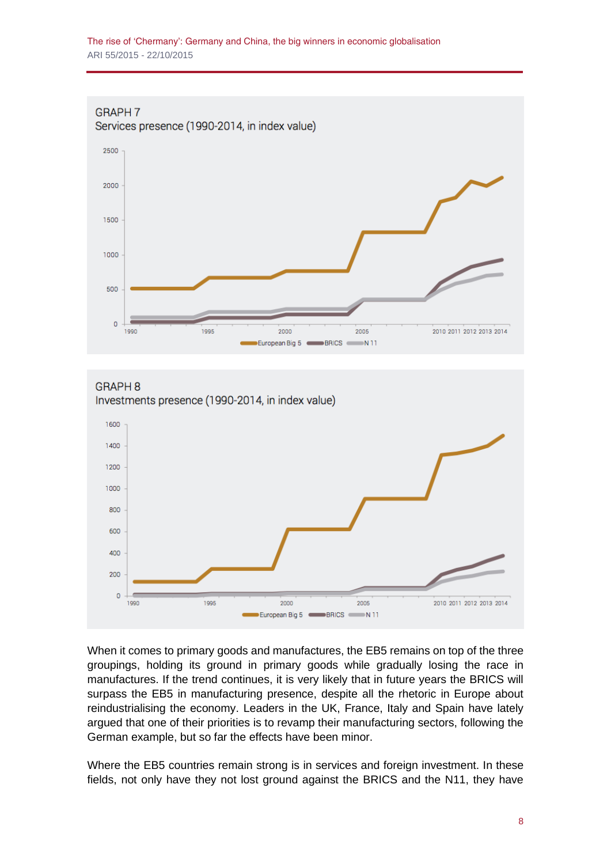





When it comes to primary goods and manufactures, the EB5 remains on top of the three groupings, holding its ground in primary goods while gradually losing the race in manufactures. If the trend continues, it is very likely that in future years the BRICS will surpass the EB5 in manufacturing presence, despite all the rhetoric in Europe about reindustrialising the economy. Leaders in the UK, France, Italy and Spain have lately argued that one of their priorities is to revamp their manufacturing sectors, following the German example, but so far the effects have been minor.

Where the EB5 countries remain strong is in services and foreign investment. In these fields, not only have they not lost ground against the BRICS and the N11, they have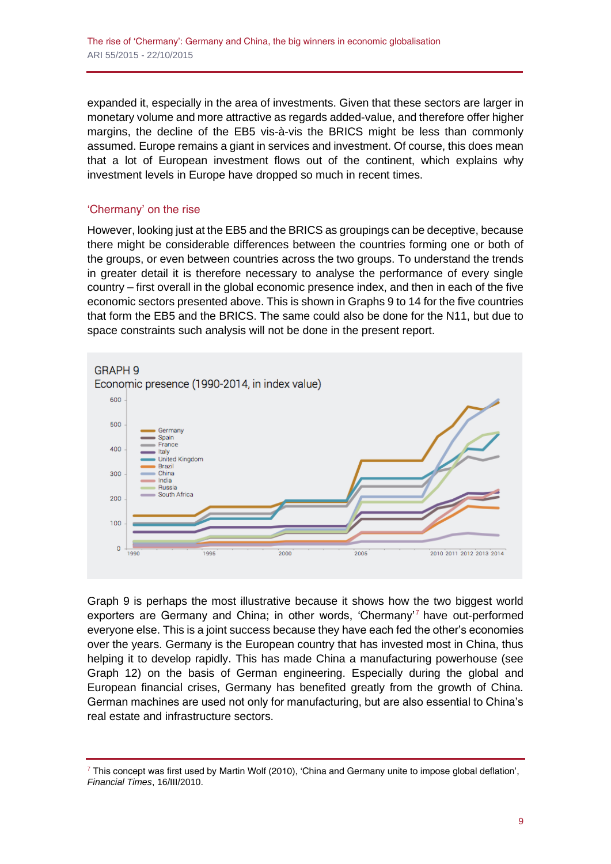expanded it, especially in the area of investments. Given that these sectors are larger in monetary volume and more attractive as regards added-value, and therefore offer higher margins, the decline of the EB5 vis-à-vis the BRICS might be less than commonly assumed. Europe remains a giant in services and investment. Of course, this does mean that a lot of European investment flows out of the continent, which explains why investment levels in Europe have dropped so much in recent times.

#### 'Chermany' on the rise

However, looking just at the EB5 and the BRICS as groupings can be deceptive, because there might be considerable differences between the countries forming one or both of the groups, or even between countries across the two groups. To understand the trends in greater detail it is therefore necessary to analyse the performance of every single country – first overall in the global economic presence index, and then in each of the five economic sectors presented above. This is shown in Graphs 9 to 14 for the five countries that form the EB5 and the BRICS. The same could also be done for the N11, but due to space constraints such analysis will not be done in the present report.



Graph 9 is perhaps the most illustrative because it shows how the two biggest world exporters are Germany and China; in other words, 'Chermany'<sup>7</sup> have out-performed everyone else. This is a joint success because they have each fed the other's economies over the years. Germany is the European country that has invested most in China, thus helping it to develop rapidly. This has made China a manufacturing powerhouse (see Graph 12) on the basis of German engineering. Especially during the global and European financial crises, Germany has benefited greatly from the growth of China. German machines are used not only for manufacturing, but are also essential to China's real estate and infrastructure sectors.

<sup>7</sup> This concept was first used by Martin Wolf (2010), 'China and Germany unite to impose global deflation', *Financial Times*, 16/III/2010.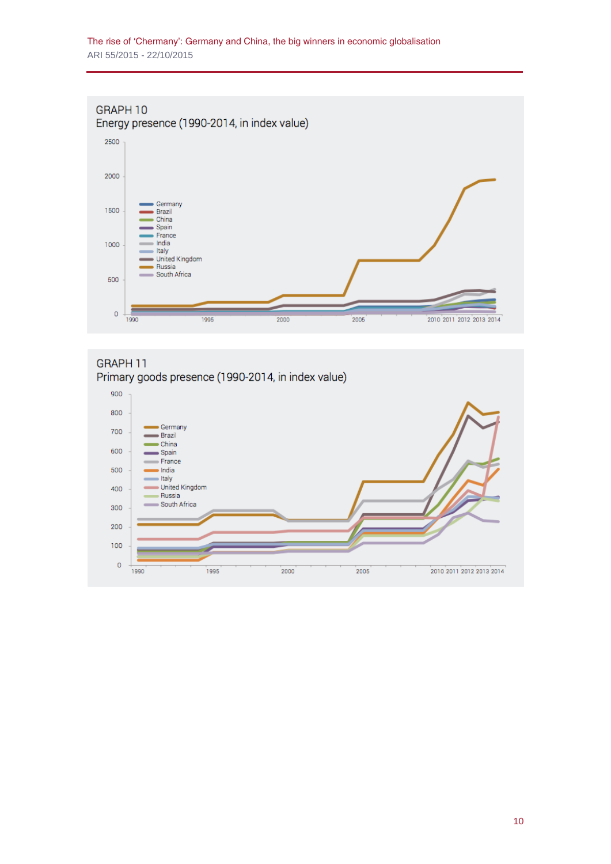### GRAPH 10 Energy presence (1990-2014, in index value)



#### GRAPH 11



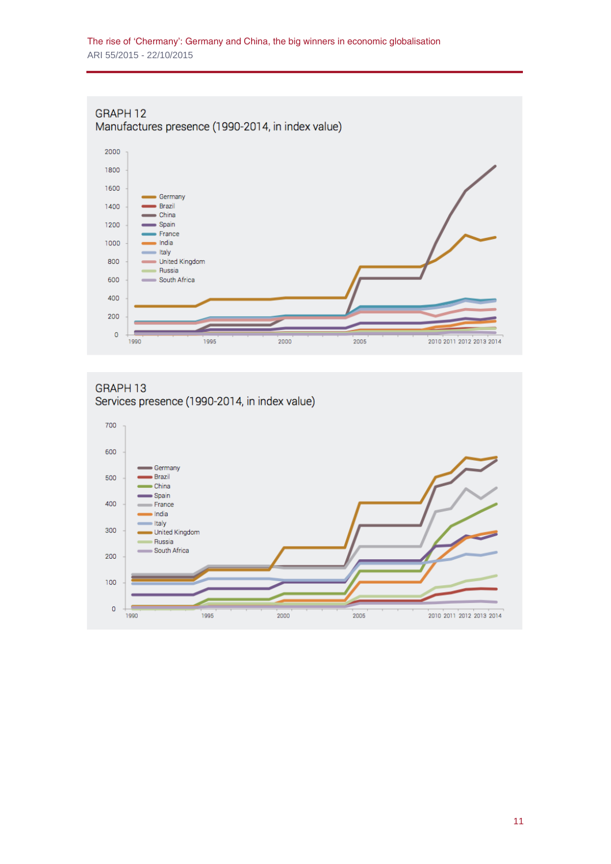#### GRAPH 12 Manufactures presence (1990-2014, in index value)



#### GRAPH 13 Services presence (1990-2014, in index value)

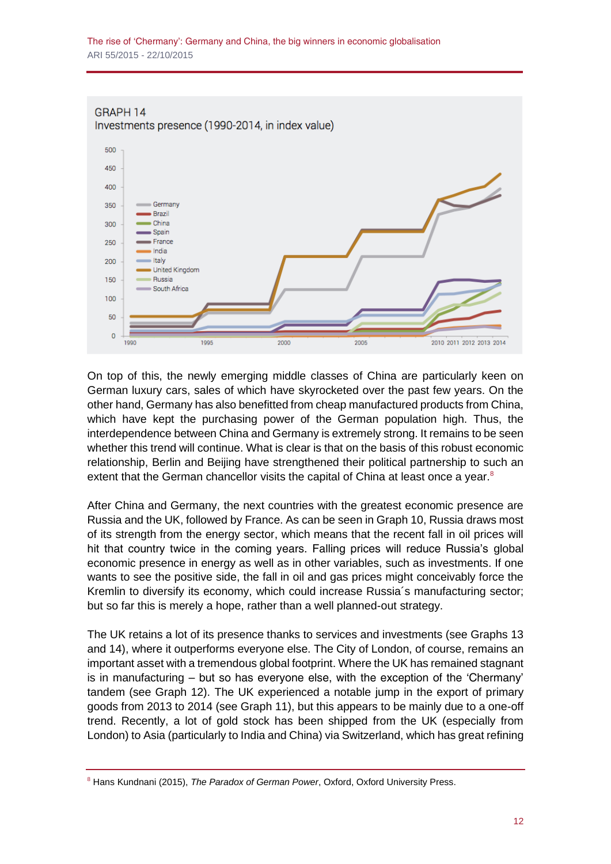

On top of this, the newly emerging middle classes of China are particularly keen on German luxury cars, sales of which have skyrocketed over the past few years. On the other hand, Germany has also benefitted from cheap manufactured products from China, which have kept the purchasing power of the German population high. Thus, the interdependence between China and Germany is extremely strong. It remains to be seen whether this trend will continue. What is clear is that on the basis of this robust economic relationship, Berlin and Beijing have strengthened their political partnership to such an extent that the German chancellor visits the capital of China at least once a year. $8$ 

After China and Germany, the next countries with the greatest economic presence are Russia and the UK, followed by France. As can be seen in Graph 10, Russia draws most of its strength from the energy sector, which means that the recent fall in oil prices will hit that country twice in the coming years. Falling prices will reduce Russia's global economic presence in energy as well as in other variables, such as investments. If one wants to see the positive side, the fall in oil and gas prices might conceivably force the Kremlin to diversify its economy, which could increase Russia´s manufacturing sector; but so far this is merely a hope, rather than a well planned-out strategy.

The UK retains a lot of its presence thanks to services and investments (see Graphs 13 and 14), where it outperforms everyone else. The City of London, of course, remains an important asset with a tremendous global footprint. Where the UK has remained stagnant is in manufacturing – but so has everyone else, with the exception of the 'Chermany' tandem (see Graph 12). The UK experienced a notable jump in the export of primary goods from 2013 to 2014 (see Graph 11), but this appears to be mainly due to a one-off trend. Recently, a lot of gold stock has been shipped from the UK (especially from London) to Asia (particularly to India and China) via Switzerland, which has great refining

<sup>8</sup> Hans Kundnani (2015), *The Paradox of German Power*, Oxford, Oxford University Press.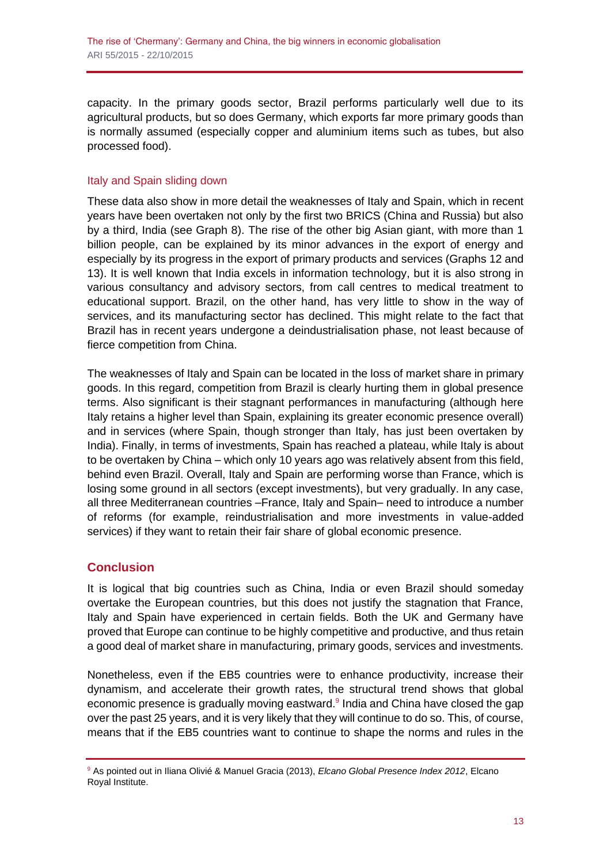capacity. In the primary goods sector, Brazil performs particularly well due to its agricultural products, but so does Germany, which exports far more primary goods than is normally assumed (especially copper and aluminium items such as tubes, but also processed food).

#### Italy and Spain sliding down

These data also show in more detail the weaknesses of Italy and Spain, which in recent years have been overtaken not only by the first two BRICS (China and Russia) but also by a third, India (see Graph 8). The rise of the other big Asian giant, with more than 1 billion people, can be explained by its minor advances in the export of energy and especially by its progress in the export of primary products and services (Graphs 12 and 13). It is well known that India excels in information technology, but it is also strong in various consultancy and advisory sectors, from call centres to medical treatment to educational support. Brazil, on the other hand, has very little to show in the way of services, and its manufacturing sector has declined. This might relate to the fact that Brazil has in recent years undergone a deindustrialisation phase, not least because of fierce competition from China.

The weaknesses of Italy and Spain can be located in the loss of market share in primary goods. In this regard, competition from Brazil is clearly hurting them in global presence terms. Also significant is their stagnant performances in manufacturing (although here Italy retains a higher level than Spain, explaining its greater economic presence overall) and in services (where Spain, though stronger than Italy, has just been overtaken by India). Finally, in terms of investments, Spain has reached a plateau, while Italy is about to be overtaken by China – which only 10 years ago was relatively absent from this field, behind even Brazil. Overall, Italy and Spain are performing worse than France, which is losing some ground in all sectors (except investments), but very gradually. In any case, all three Mediterranean countries –France, Italy and Spain– need to introduce a number of reforms (for example, reindustrialisation and more investments in value-added services) if they want to retain their fair share of global economic presence.

#### **Conclusion**

It is logical that big countries such as China, India or even Brazil should someday overtake the European countries, but this does not justify the stagnation that France, Italy and Spain have experienced in certain fields. Both the UK and Germany have proved that Europe can continue to be highly competitive and productive, and thus retain a good deal of market share in manufacturing, primary goods, services and investments.

Nonetheless, even if the EB5 countries were to enhance productivity, increase their dynamism, and accelerate their growth rates, the structural trend shows that global economic presence is gradually moving eastward.<sup>9</sup> India and China have closed the gap over the past 25 years, and it is very likely that they will continue to do so. This, of course, means that if the EB5 countries want to continue to shape the norms and rules in the

<sup>9</sup> As pointed out in Iliana Olivié & Manuel Gracia (2013), *Elcano Global Presence Index 2012*, Elcano Royal Institute.